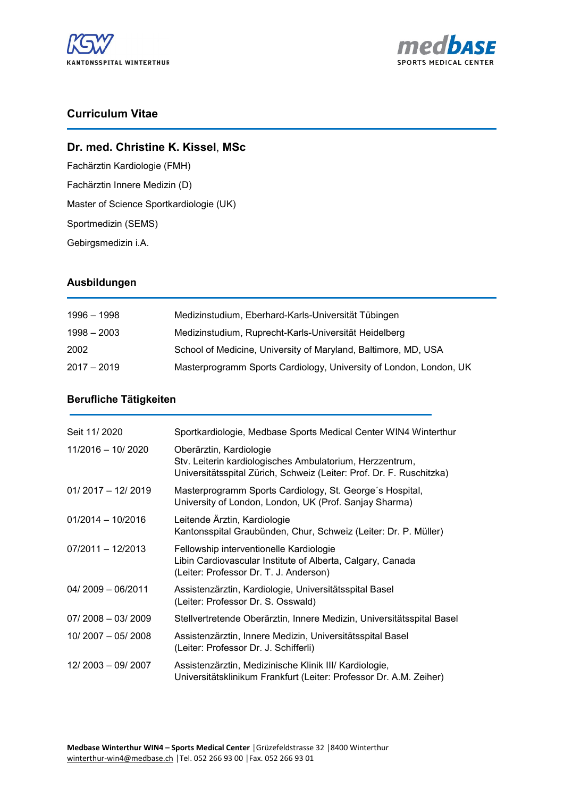



# **Curriculum Vitae**

## **Dr. med. Christine K. Kissel**, **MSc**

Fachärztin Kardiologie (FMH) Fachärztin Innere Medizin (D) Master of Science Sportkardiologie (UK) Sportmedizin (SEMS) Gebirgsmedizin i.A.

## **Ausbildungen**

| 1996 - 1998   | Medizinstudium, Eberhard-Karls-Universität Tübingen                |
|---------------|--------------------------------------------------------------------|
| $1998 - 2003$ | Medizinstudium, Ruprecht-Karls-Universität Heidelberg              |
| 2002          | School of Medicine, University of Maryland, Baltimore, MD, USA     |
| $2017 - 2019$ | Masterprogramm Sports Cardiology, University of London, London, UK |

### **Berufliche Tätigkeiten**

| Seit 11/2020        | Sportkardiologie, Medbase Sports Medical Center WIN4 Winterthur                                                                                             |
|---------------------|-------------------------------------------------------------------------------------------------------------------------------------------------------------|
| $11/2016 - 10/2020$ | Oberärztin, Kardiologie<br>Stv. Leiterin kardiologisches Ambulatorium, Herzzentrum,<br>Universitätsspital Zürich, Schweiz (Leiter: Prof. Dr. F. Ruschitzka) |
| $01/2017 - 12/2019$ | Masterprogramm Sports Cardiology, St. George's Hospital,<br>University of London, London, UK (Prof. Sanjay Sharma)                                          |
| $01/2014 - 10/2016$ | Leitende Ärztin, Kardiologie<br>Kantonsspital Graubünden, Chur, Schweiz (Leiter: Dr. P. Müller)                                                             |
| $07/2011 - 12/2013$ | Fellowship interventionelle Kardiologie<br>Libin Cardiovascular Institute of Alberta, Calgary, Canada<br>(Leiter: Professor Dr. T. J. Anderson)             |
| $04/2009 - 06/2011$ | Assistenzärztin, Kardiologie, Universitätsspital Basel<br>(Leiter: Professor Dr. S. Osswald)                                                                |
| $07/2008 - 03/2009$ | Stellvertretende Oberärztin, Innere Medizin, Universitätsspital Basel                                                                                       |
| $10/2007 - 05/2008$ | Assistenzärztin, Innere Medizin, Universitätsspital Basel<br>(Leiter: Professor Dr. J. Schifferli)                                                          |
| 12/2003 - 09/2007   | Assistenzärztin, Medizinische Klinik III/ Kardiologie,<br>Universitätsklinikum Frankfurt (Leiter: Professor Dr. A.M. Zeiher)                                |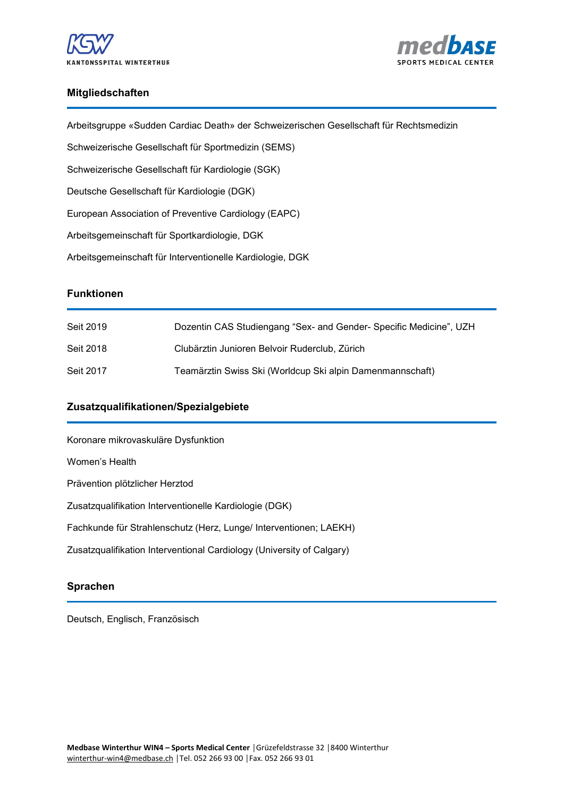



#### **Mitgliedschaften**

| <b>Funktionen</b>                                                                       |
|-----------------------------------------------------------------------------------------|
| Arbeitsgemeinschaft für Interventionelle Kardiologie, DGK                               |
| Arbeitsgemeinschaft für Sportkardiologie, DGK                                           |
| European Association of Preventive Cardiology (EAPC)                                    |
| Deutsche Gesellschaft für Kardiologie (DGK)                                             |
| Schweizerische Gesellschaft für Kardiologie (SGK)                                       |
| Schweizerische Gesellschaft für Sportmedizin (SEMS)                                     |
| Arbeitsgruppe «Sudden Cardiac Death» der Schweizerischen Gesellschaft für Rechtsmedizin |

| Seit 2019 | Dozentin CAS Studiengang "Sex- and Gender- Specific Medicine", UZH |
|-----------|--------------------------------------------------------------------|
| Seit 2018 | Clubärztin Junioren Belvoir Ruderclub, Zürich                      |
| Seit 2017 | Teamärztin Swiss Ski (Worldcup Ski alpin Damenmannschaft)          |

## **Zusatzqualifikationen/Spezialgebiete**

Koronare mikrovaskuläre Dysfunktion Women's Health Prävention plötzlicher Herztod Zusatzqualifikation Interventionelle Kardiologie (DGK) Fachkunde für Strahlenschutz (Herz, Lunge/ Interventionen; LAEKH) Zusatzqualifikation Interventional Cardiology (University of Calgary)

## **Sprachen**

Deutsch, Englisch, Französisch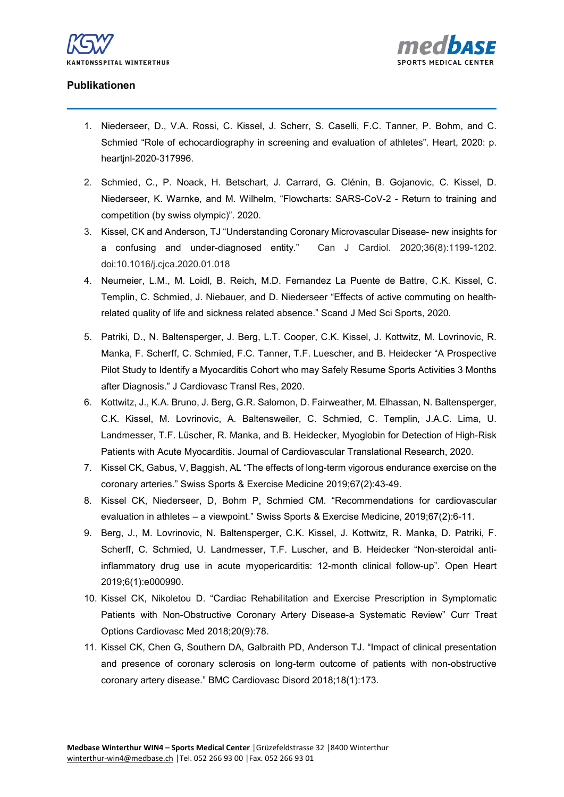



## **Publikationen**

- 1. Niederseer, D., V.A. Rossi, C. Kissel, J. Scherr, S. Caselli, F.C. Tanner, P. Bohm, and C. Schmied "Role of echocardiography in screening and evaluation of athletes". Heart, 2020: p. heartjnl-2020-317996.
- 2. Schmied, C., P. Noack, H. Betschart, J. Carrard, G. Clénin, B. Gojanovic, C. Kissel, D. Niederseer, K. Warnke, and M. Wilhelm, "Flowcharts: SARS-CoV-2 - Return to training and competition (by swiss olympic)". 2020.
- 3. Kissel, CK and Anderson, TJ "Understanding Coronary Microvascular Disease- new insights for a confusing and under-diagnosed entity."Can J Cardiol. 2020;36(8):1199-1202. doi:10.1016/j.cjca.2020.01.018
- 4. Neumeier, L.M., M. Loidl, B. Reich, M.D. Fernandez La Puente de Battre, C.K. Kissel, C. Templin, C. Schmied, J. Niebauer, and D. Niederseer "Effects of active commuting on healthrelated quality of life and sickness related absence." Scand J Med Sci Sports, 2020.
- 5. Patriki, D., N. Baltensperger, J. Berg, L.T. Cooper, C.K. Kissel, J. Kottwitz, M. Lovrinovic, R. Manka, F. Scherff, C. Schmied, F.C. Tanner, T.F. Luescher, and B. Heidecker "A Prospective Pilot Study to Identify a Myocarditis Cohort who may Safely Resume Sports Activities 3 Months after Diagnosis." J Cardiovasc Transl Res, 2020.
- 6. Kottwitz, J., K.A. Bruno, J. Berg, G.R. Salomon, D. Fairweather, M. Elhassan, N. Baltensperger, C.K. Kissel, M. Lovrinovic, A. Baltensweiler, C. Schmied, C. Templin, J.A.C. Lima, U. Landmesser, T.F. Lüscher, R. Manka, and B. Heidecker, Myoglobin for Detection of High-Risk Patients with Acute Myocarditis. Journal of Cardiovascular Translational Research, 2020.
- 7. Kissel CK, Gabus, V, Baggish, AL "The effects of long-term vigorous endurance exercise on the coronary arteries." Swiss Sports & Exercise Medicine 2019;67(2):43-49.
- 8. Kissel CK, Niederseer, D, Bohm P, Schmied CM. "Recommendations for cardiovascular evaluation in athletes – a viewpoint." Swiss Sports & Exercise Medicine, 2019;67(2):6-11.
- 9. Berg, J., M. Lovrinovic, N. Baltensperger, C.K. Kissel, J. Kottwitz, R. Manka, D. Patriki, F. Scherff, C. Schmied, U. Landmesser, T.F. Luscher, and B. Heidecker "Non-steroidal antiinflammatory drug use in acute myopericarditis: 12-month clinical follow-up". Open Heart 2019;6(1):e000990.
- 10. Kissel CK, Nikoletou D. "Cardiac Rehabilitation and Exercise Prescription in Symptomatic Patients with Non-Obstructive Coronary Artery Disease-a Systematic Review" Curr Treat Options Cardiovasc Med 2018;20(9):78.
- 11. Kissel CK, Chen G, Southern DA, Galbraith PD, Anderson TJ. "Impact of clinical presentation and presence of coronary sclerosis on long-term outcome of patients with non-obstructive coronary artery disease." BMC Cardiovasc Disord 2018;18(1):173.